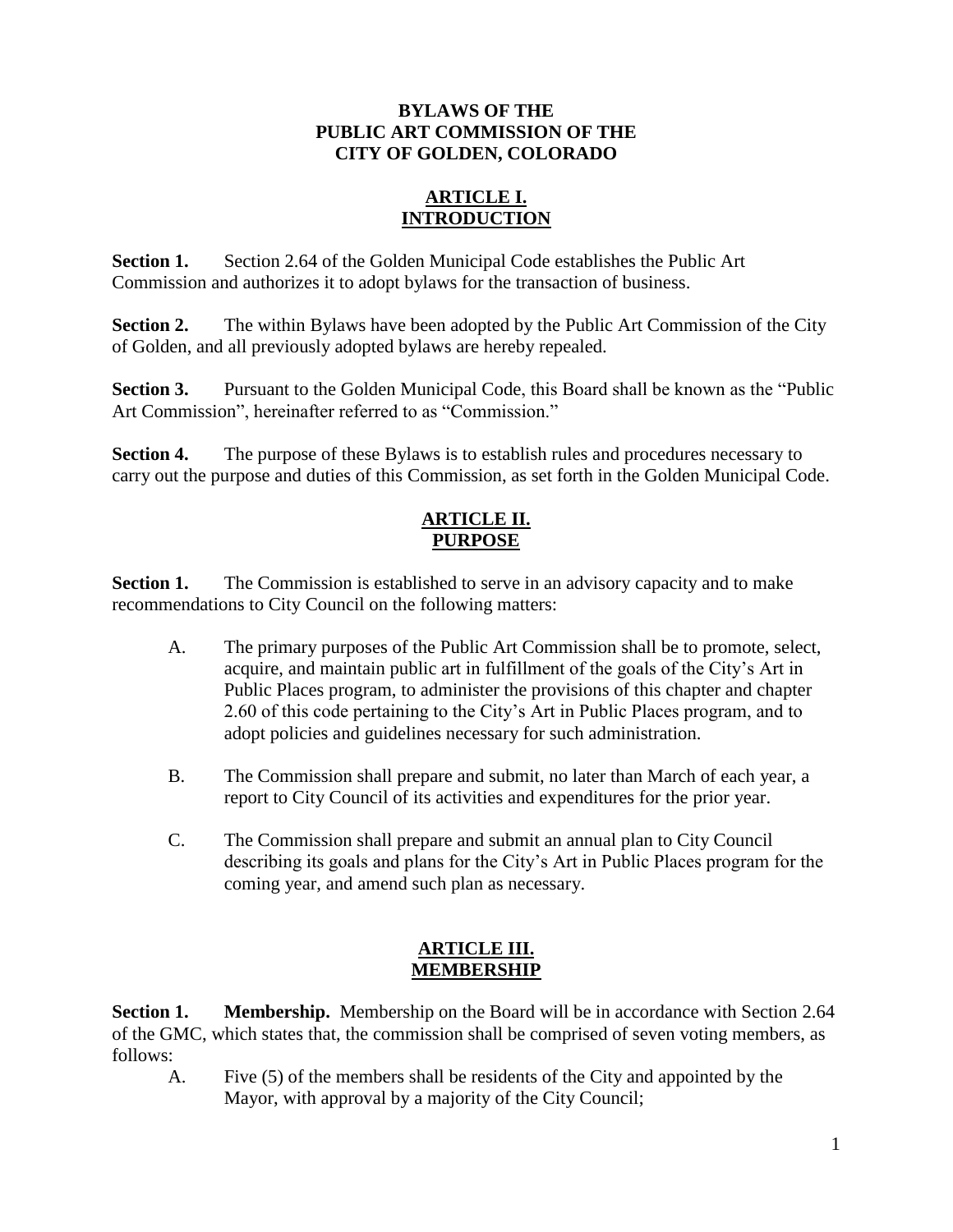### **BYLAWS OF THE PUBLIC ART COMMISSION OF THE CITY OF GOLDEN, COLORADO**

#### **ARTICLE I. INTRODUCTION**

**Section 1.** Section 2.64 of the Golden Municipal Code establishes the Public Art Commission and authorizes it to adopt bylaws for the transaction of business.

**Section 2.** The within Bylaws have been adopted by the Public Art Commission of the City of Golden, and all previously adopted bylaws are hereby repealed.

**Section 3.** Pursuant to the Golden Municipal Code, this Board shall be known as the "Public Art Commission", hereinafter referred to as "Commission."

**Section 4.** The purpose of these Bylaws is to establish rules and procedures necessary to carry out the purpose and duties of this Commission, as set forth in the Golden Municipal Code.

## **ARTICLE II. PURPOSE**

**Section 1.** The Commission is established to serve in an advisory capacity and to make recommendations to City Council on the following matters:

- A. The primary purposes of the Public Art Commission shall be to promote, select, acquire, and maintain public art in fulfillment of the goals of the City's Art in Public Places program, to administer the provisions of this chapter and chapter 2.60 of this code pertaining to the City's Art in Public Places program, and to adopt policies and guidelines necessary for such administration.
- B. The Commission shall prepare and submit, no later than March of each year, a report to City Council of its activities and expenditures for the prior year.
- C. The Commission shall prepare and submit an annual plan to City Council describing its goals and plans for the City's Art in Public Places program for the coming year, and amend such plan as necessary.

### **ARTICLE III. MEMBERSHIP**

**Section 1.** Membership. Membership on the Board will be in accordance with Section 2.64 of the GMC, which states that, the commission shall be comprised of seven voting members, as follows:

A. Five (5) of the members shall be residents of the City and appointed by the Mayor, with approval by a majority of the City Council;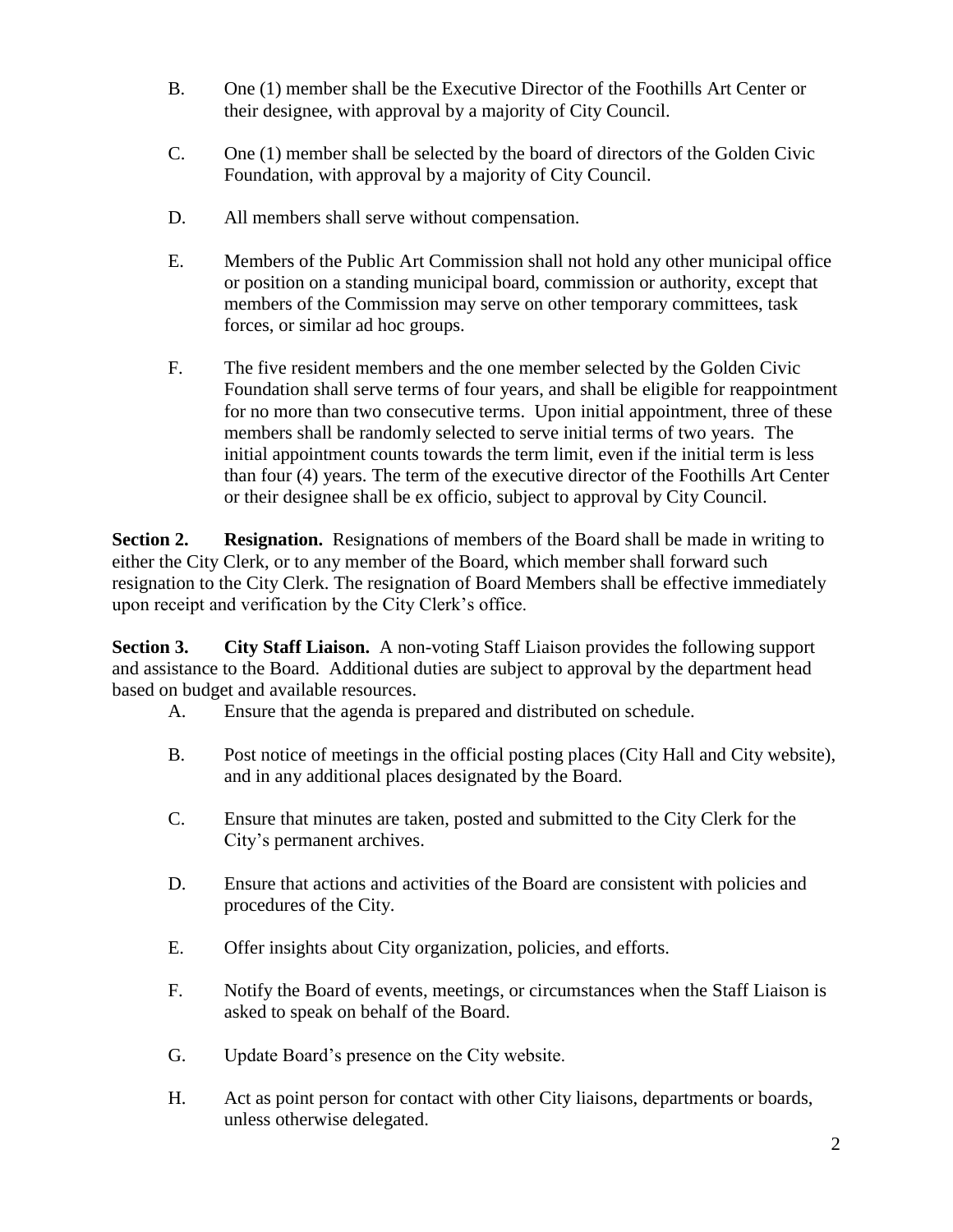- B. One (1) member shall be the Executive Director of the Foothills Art Center or their designee, with approval by a majority of City Council.
- C. One (1) member shall be selected by the board of directors of the Golden Civic Foundation, with approval by a majority of City Council.
- D. All members shall serve without compensation.
- E. Members of the Public Art Commission shall not hold any other municipal office or position on a standing municipal board, commission or authority, except that members of the Commission may serve on other temporary committees, task forces, or similar ad hoc groups.
- F. The five resident members and the one member selected by the Golden Civic Foundation shall serve terms of four years, and shall be eligible for reappointment for no more than two consecutive terms. Upon initial appointment, three of these members shall be randomly selected to serve initial terms of two years. The initial appointment counts towards the term limit, even if the initial term is less than four (4) years. The term of the executive director of the Foothills Art Center or their designee shall be ex officio, subject to approval by City Council.

**Section 2.** Resignation. Resignations of members of the Board shall be made in writing to either the City Clerk, or to any member of the Board, which member shall forward such resignation to the City Clerk. The resignation of Board Members shall be effective immediately upon receipt and verification by the City Clerk's office.

**Section 3. City Staff Liaison.** A non-voting Staff Liaison provides the following support and assistance to the Board. Additional duties are subject to approval by the department head based on budget and available resources.

- A. Ensure that the agenda is prepared and distributed on schedule.
- B. Post notice of meetings in the official posting places (City Hall and City website), and in any additional places designated by the Board.
- C. Ensure that minutes are taken, posted and submitted to the City Clerk for the City's permanent archives.
- D. Ensure that actions and activities of the Board are consistent with policies and procedures of the City.
- E. Offer insights about City organization, policies, and efforts.
- F. Notify the Board of events, meetings, or circumstances when the Staff Liaison is asked to speak on behalf of the Board.
- G. Update Board's presence on the City website.
- H. Act as point person for contact with other City liaisons, departments or boards, unless otherwise delegated.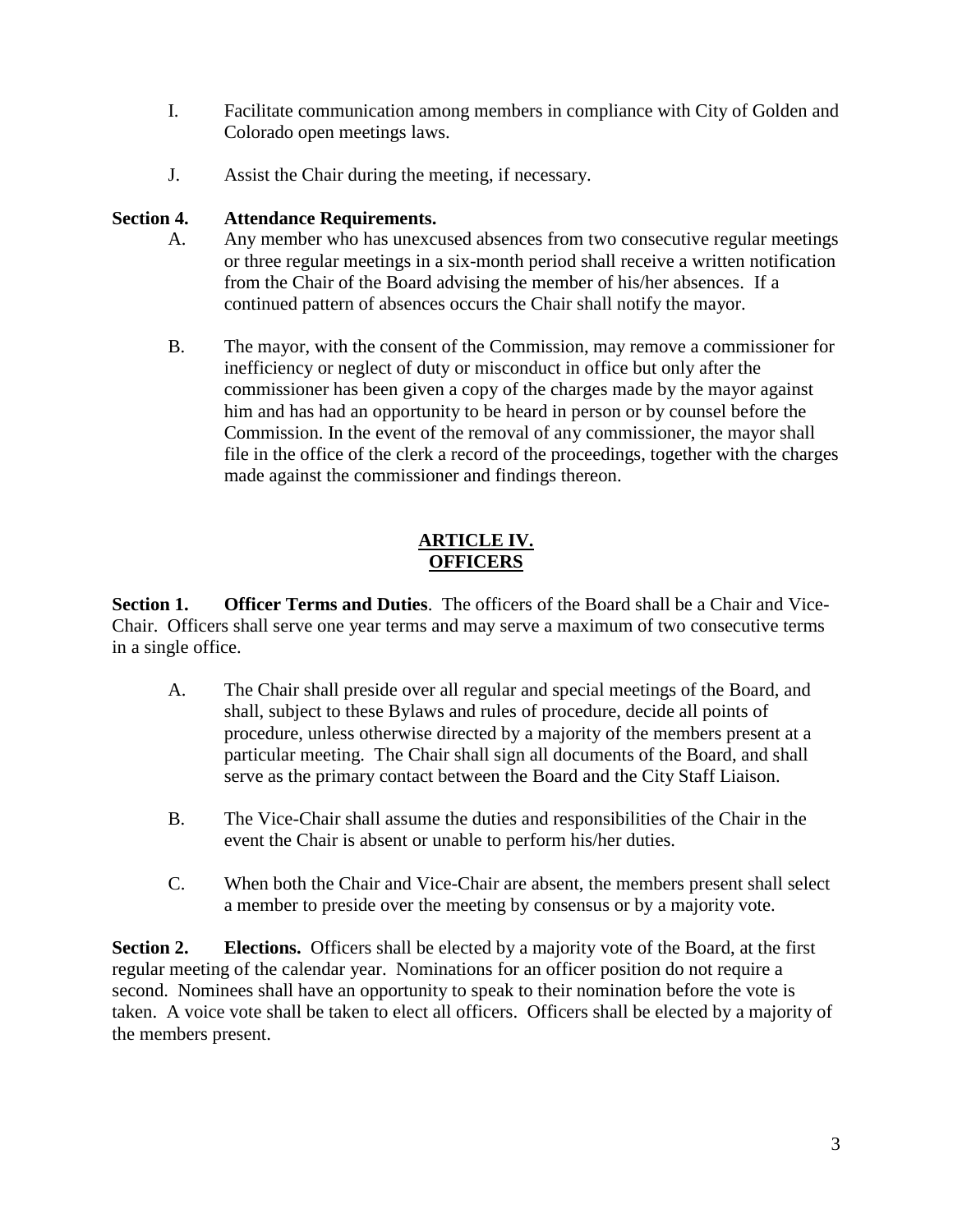- I. Facilitate communication among members in compliance with City of Golden and Colorado open meetings laws.
- J. Assist the Chair during the meeting, if necessary.

#### **Section 4. Attendance Requirements.**

- A. Any member who has unexcused absences from two consecutive regular meetings or three regular meetings in a six-month period shall receive a written notification from the Chair of the Board advising the member of his/her absences. If a continued pattern of absences occurs the Chair shall notify the mayor.
- B. The mayor, with the consent of the Commission, may remove a commissioner for inefficiency or neglect of duty or misconduct in office but only after the commissioner has been given a copy of the charges made by the mayor against him and has had an opportunity to be heard in person or by counsel before the Commission. In the event of the removal of any commissioner, the mayor shall file in the office of the clerk a record of the proceedings, together with the charges made against the commissioner and findings thereon.

### **ARTICLE IV. OFFICERS**

**Section 1. Officer Terms and Duties**. The officers of the Board shall be a Chair and Vice-Chair. Officers shall serve one year terms and may serve a maximum of two consecutive terms in a single office.

- A. The Chair shall preside over all regular and special meetings of the Board, and shall, subject to these Bylaws and rules of procedure, decide all points of procedure, unless otherwise directed by a majority of the members present at a particular meeting. The Chair shall sign all documents of the Board, and shall serve as the primary contact between the Board and the City Staff Liaison.
- B. The Vice-Chair shall assume the duties and responsibilities of the Chair in the event the Chair is absent or unable to perform his/her duties.
- C. When both the Chair and Vice-Chair are absent, the members present shall select a member to preside over the meeting by consensus or by a majority vote.

**Section 2. Elections.** Officers shall be elected by a majority vote of the Board, at the first regular meeting of the calendar year. Nominations for an officer position do not require a second. Nominees shall have an opportunity to speak to their nomination before the vote is taken. A voice vote shall be taken to elect all officers. Officers shall be elected by a majority of the members present.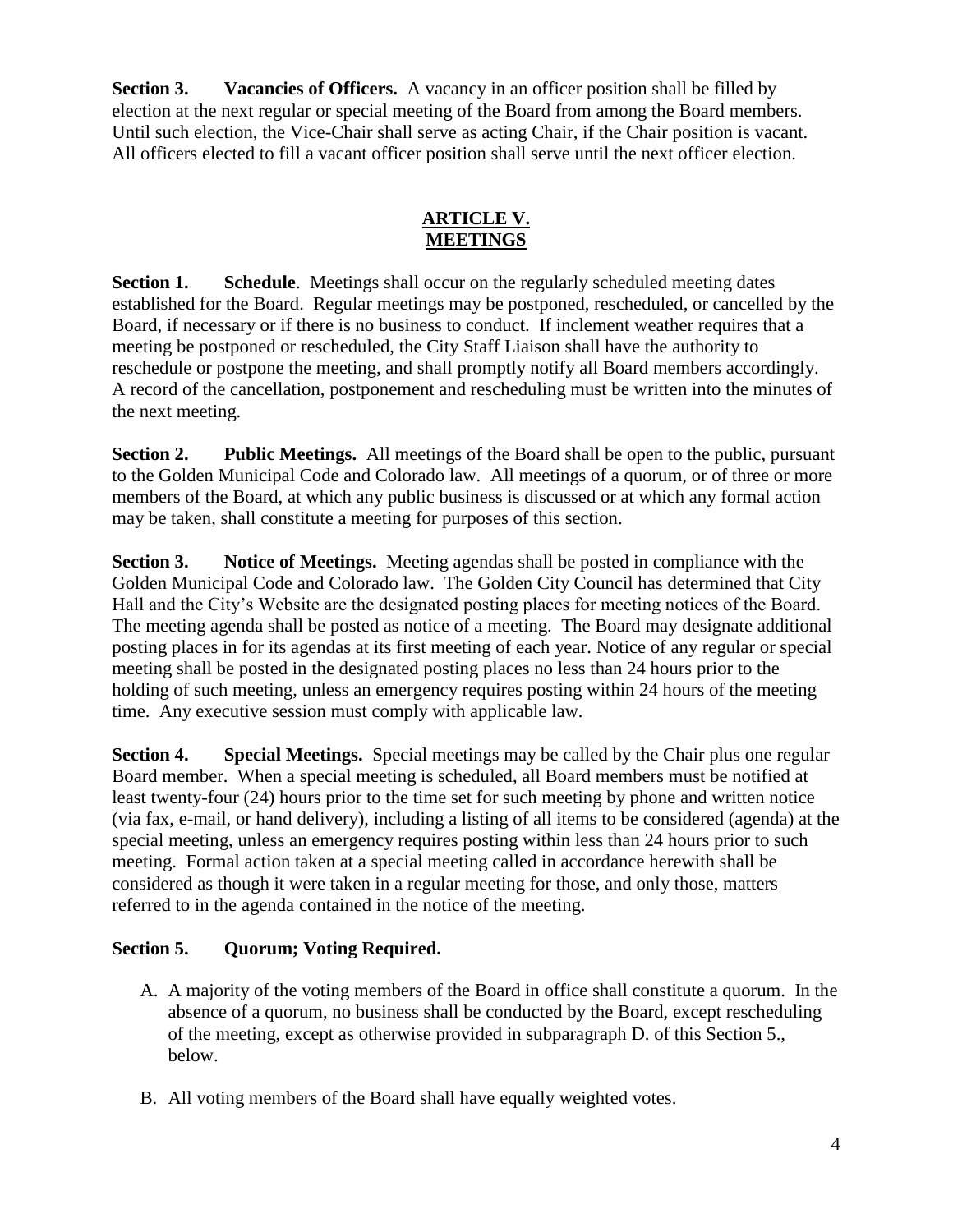**Section 3. Vacancies of Officers.** A vacancy in an officer position shall be filled by election at the next regular or special meeting of the Board from among the Board members. Until such election, the Vice-Chair shall serve as acting Chair, if the Chair position is vacant. All officers elected to fill a vacant officer position shall serve until the next officer election.

## **ARTICLE V. MEETINGS**

**Section 1. Schedule**. Meetings shall occur on the regularly scheduled meeting dates established for the Board. Regular meetings may be postponed, rescheduled, or cancelled by the Board, if necessary or if there is no business to conduct. If inclement weather requires that a meeting be postponed or rescheduled, the City Staff Liaison shall have the authority to reschedule or postpone the meeting, and shall promptly notify all Board members accordingly. A record of the cancellation, postponement and rescheduling must be written into the minutes of the next meeting.

**Section 2. Public Meetings.** All meetings of the Board shall be open to the public, pursuant to the Golden Municipal Code and Colorado law. All meetings of a quorum, or of three or more members of the Board, at which any public business is discussed or at which any formal action may be taken, shall constitute a meeting for purposes of this section.

**Section 3. Notice of Meetings.** Meeting agendas shall be posted in compliance with the Golden Municipal Code and Colorado law. The Golden City Council has determined that City Hall and the City's Website are the designated posting places for meeting notices of the Board. The meeting agenda shall be posted as notice of a meeting. The Board may designate additional posting places in for its agendas at its first meeting of each year. Notice of any regular or special meeting shall be posted in the designated posting places no less than 24 hours prior to the holding of such meeting, unless an emergency requires posting within 24 hours of the meeting time. Any executive session must comply with applicable law.

**Section 4. Special Meetings.** Special meetings may be called by the Chair plus one regular Board member. When a special meeting is scheduled, all Board members must be notified at least twenty-four (24) hours prior to the time set for such meeting by phone and written notice (via fax, e-mail, or hand delivery), including a listing of all items to be considered (agenda) at the special meeting, unless an emergency requires posting within less than 24 hours prior to such meeting. Formal action taken at a special meeting called in accordance herewith shall be considered as though it were taken in a regular meeting for those, and only those, matters referred to in the agenda contained in the notice of the meeting.

# **Section 5. Quorum; Voting Required.**

- A. A majority of the voting members of the Board in office shall constitute a quorum. In the absence of a quorum, no business shall be conducted by the Board, except rescheduling of the meeting, except as otherwise provided in subparagraph D. of this Section 5., below.
- B. All voting members of the Board shall have equally weighted votes.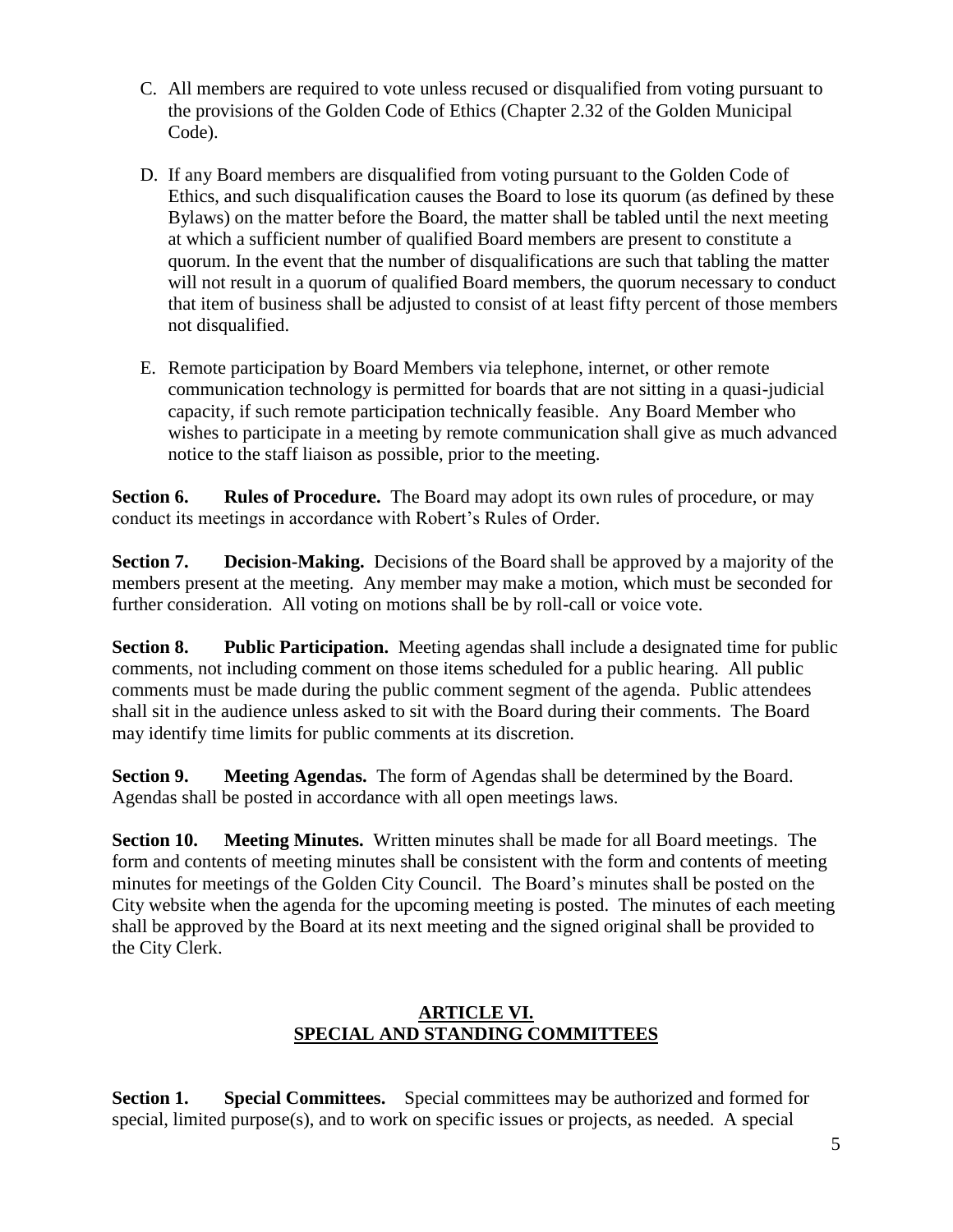- C. All members are required to vote unless recused or disqualified from voting pursuant to the provisions of the Golden Code of Ethics (Chapter 2.32 of the Golden Municipal Code).
- D. If any Board members are disqualified from voting pursuant to the Golden Code of Ethics, and such disqualification causes the Board to lose its quorum (as defined by these Bylaws) on the matter before the Board, the matter shall be tabled until the next meeting at which a sufficient number of qualified Board members are present to constitute a quorum. In the event that the number of disqualifications are such that tabling the matter will not result in a quorum of qualified Board members, the quorum necessary to conduct that item of business shall be adjusted to consist of at least fifty percent of those members not disqualified.
- E. Remote participation by Board Members via telephone, internet, or other remote communication technology is permitted for boards that are not sitting in a quasi-judicial capacity, if such remote participation technically feasible. Any Board Member who wishes to participate in a meeting by remote communication shall give as much advanced notice to the staff liaison as possible, prior to the meeting.

**Section 6. Rules of Procedure.** The Board may adopt its own rules of procedure, or may conduct its meetings in accordance with Robert's Rules of Order.

**Section 7. Decision-Making.** Decisions of the Board shall be approved by a majority of the members present at the meeting. Any member may make a motion, which must be seconded for further consideration. All voting on motions shall be by roll-call or voice vote.

**Section 8. Public Participation.** Meeting agendas shall include a designated time for public comments, not including comment on those items scheduled for a public hearing. All public comments must be made during the public comment segment of the agenda. Public attendees shall sit in the audience unless asked to sit with the Board during their comments. The Board may identify time limits for public comments at its discretion.

**Section 9. Meeting Agendas.** The form of Agendas shall be determined by the Board. Agendas shall be posted in accordance with all open meetings laws.

**Section 10. Meeting Minutes.** Written minutes shall be made for all Board meetings. The form and contents of meeting minutes shall be consistent with the form and contents of meeting minutes for meetings of the Golden City Council. The Board's minutes shall be posted on the City website when the agenda for the upcoming meeting is posted. The minutes of each meeting shall be approved by the Board at its next meeting and the signed original shall be provided to the City Clerk.

### **ARTICLE VI. SPECIAL AND STANDING COMMITTEES**

**Section 1. Special Committees.** Special committees may be authorized and formed for special, limited purpose(s), and to work on specific issues or projects, as needed. A special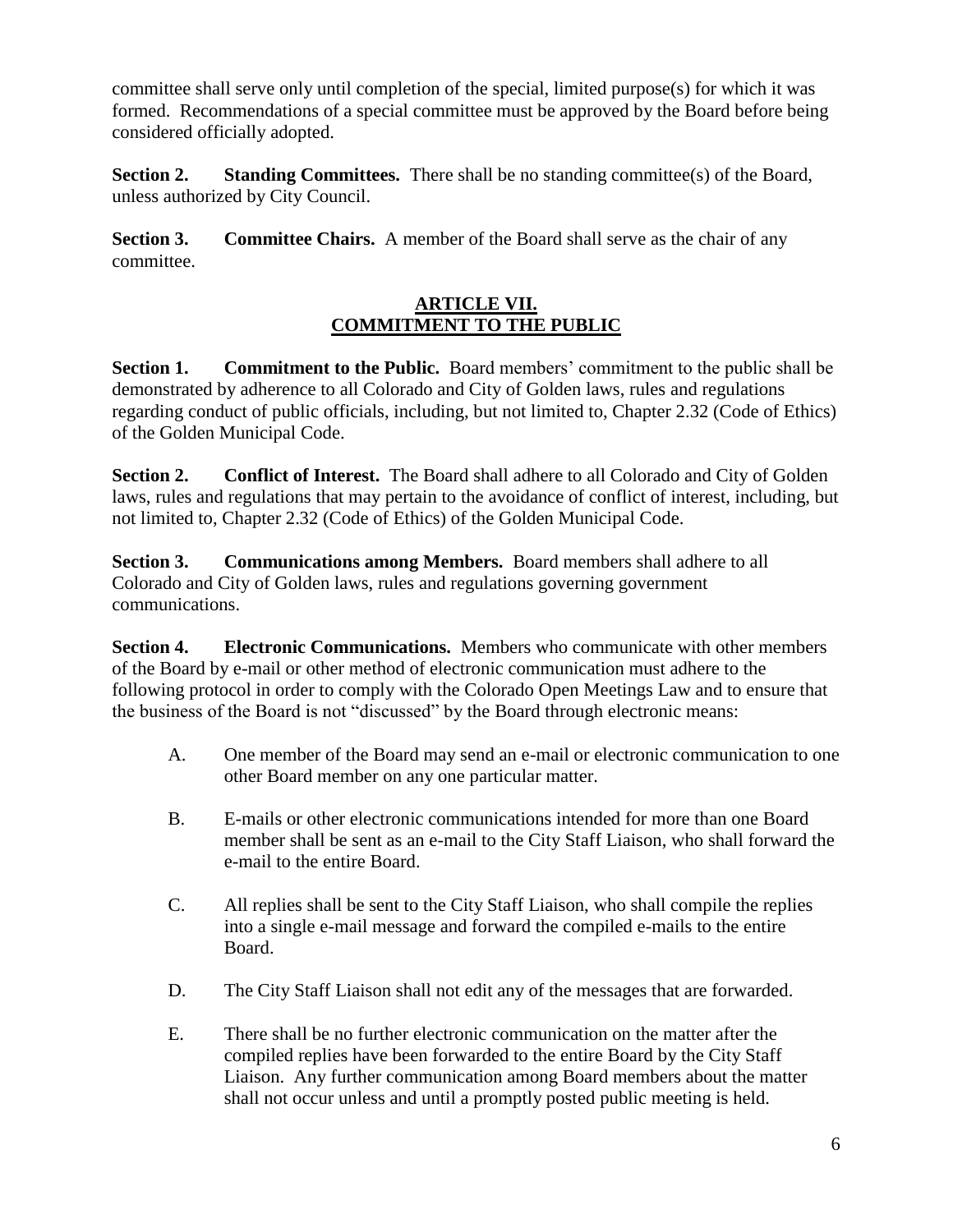committee shall serve only until completion of the special, limited purpose(s) for which it was formed. Recommendations of a special committee must be approved by the Board before being considered officially adopted.

**Section 2.** Standing Committees. There shall be no standing committee(s) of the Board, unless authorized by City Council.

**Section 3. Committee Chairs.** A member of the Board shall serve as the chair of any committee.

### **ARTICLE VII. COMMITMENT TO THE PUBLIC**

**Section 1. Commitment to the Public.** Board members' commitment to the public shall be demonstrated by adherence to all Colorado and City of Golden laws, rules and regulations regarding conduct of public officials, including, but not limited to, Chapter 2.32 (Code of Ethics) of the Golden Municipal Code.

**Section 2. Conflict of Interest.** The Board shall adhere to all Colorado and City of Golden laws, rules and regulations that may pertain to the avoidance of conflict of interest, including, but not limited to, Chapter 2.32 (Code of Ethics) of the Golden Municipal Code.

**Section 3. Communications among Members.** Board members shall adhere to all Colorado and City of Golden laws, rules and regulations governing government communications.

**Section 4. Electronic Communications.** Members who communicate with other members of the Board by e-mail or other method of electronic communication must adhere to the following protocol in order to comply with the Colorado Open Meetings Law and to ensure that the business of the Board is not "discussed" by the Board through electronic means:

- A. One member of the Board may send an e-mail or electronic communication to one other Board member on any one particular matter.
- B. E-mails or other electronic communications intended for more than one Board member shall be sent as an e-mail to the City Staff Liaison, who shall forward the e-mail to the entire Board.
- C. All replies shall be sent to the City Staff Liaison, who shall compile the replies into a single e-mail message and forward the compiled e-mails to the entire Board.
- D. The City Staff Liaison shall not edit any of the messages that are forwarded.
- E. There shall be no further electronic communication on the matter after the compiled replies have been forwarded to the entire Board by the City Staff Liaison. Any further communication among Board members about the matter shall not occur unless and until a promptly posted public meeting is held.